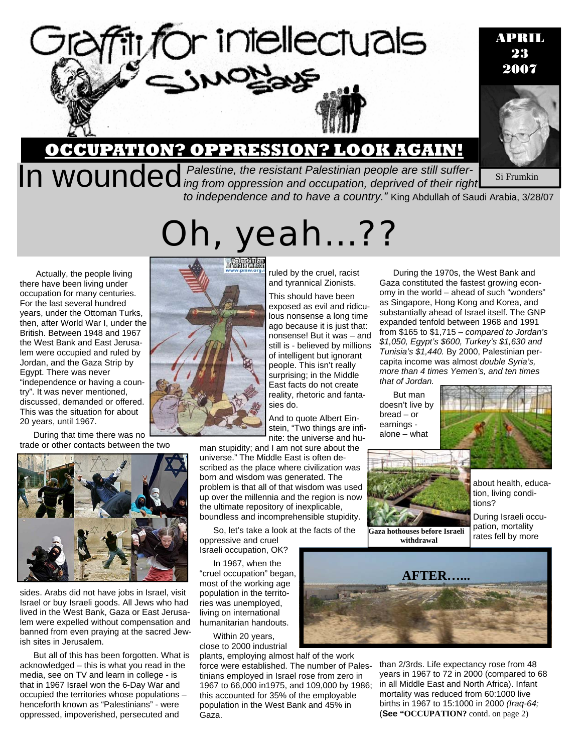

# **OCCUPATION? OPPRESSION? LOOK AGAIN!**

**By Signant Palestine, the resistant Palestinian people are still suffer-** Si Frumkin **In WOUNCEC** ing from oppression and occupation, deprived of their right **Si** Frumkin *to independence and to have a country."* King Abdullah of Saudi Arabia, 3/28/07 Si Frumkin

Oh, yeah…??

Actually, the people living there have been living under occupation for many centuries. For the last several hundred years, under the Ottoman Turks, then, after World War I, under the British. Between 1948 and 1967 the West Bank and East Jerusalem were occupied and ruled by Jordan, and the Gaza Strip by Egypt. There was never "independence or having a country". It was never mentioned, discussed, demanded or offered. This was the situation for about 20 years, until 1967.

During that time there was no trade or other contacts between the two



sides. Arabs did not have jobs in Israel, visit Israel or buy Israeli goods. All Jews who had lived in the West Bank, Gaza or East Jerusalem were expelled without compensation and banned from even praying at the sacred Jewish sites in Jerusalem.

But all of this has been forgotten. What is acknowledged – this is what you read in the media, see on TV and learn in college - is that in 1967 Israel won the 6-Day War and occupied the territories whose populations – henceforth known as "Palestinians" - were oppressed, impoverished, persecuted and



This should have been exposed as evil and ridiculous nonsense a long time ago because it is just that: nonsense! But it was – and still is - believed by millions of intelligent but ignorant people. This isn't really surprising; in the Middle East facts do not create reality, rhetoric and fantasies do.

And to quote Albert Einstein, "Two things are infinite: the universe and hu-

man stupidity; and I am not sure about the universe." The Middle East is often described as the place where civilization was born and wisdom was generated. The problem is that all of that wisdom was used up over the millennia and the region is now the ultimate repository of inexplicable, boundless and incomprehensible stupidity.

So, let's take a look at the facts of the

oppressive and cruel Israeli occupation, OK?

In 1967, when the "cruel occupation" began, most of the working age population in the territories was unemployed, living on international humanitarian handouts.

Within 20 years, close to 2000 industrial

plants, employing almost half of the work force were established. The number of Palestinians employed in Israel rose from zero in 1967 to 66,000 in1975, and 109,000 by 1986; this accounted for 35% of the employable population in the West Bank and 45% in Gaza.



than 2/3rds. Life expectancy rose from 48 years in 1967 to 72 in 2000 (compared to 68 in all Middle East and North Africa). Infant mortality was reduced from 60:1000 live births in 1967 to 15:1000 in 2000 *(Iraq-64;*  (**See "OCCUPATION?** contd. on page 2)



During the 1970s, the West Bank and Gaza constituted the fastest growing economy in the world – ahead of such "wonders" as Singapore, Hong Kong and Korea, and substantially ahead of Israel itself. The GNP expanded tenfold between 1968 and 1991 from \$165 to \$1,715 – *compared to Jordan's \$1,050, Egypt's \$600, Turkey's \$1,630 and Tunisia's \$1,440.* By 2000, Palestinian percapita income was almost *double Syria's, more than 4 times Yemen's, and ten times that of Jordan.*

But man doesn't live by bread – or earnings alone – what



**Gaza hothouses before Israeli withdrawal** 



about health, education, living conditions?

APRIL 23 2007

During Israeli occupation, mortality rates fell by more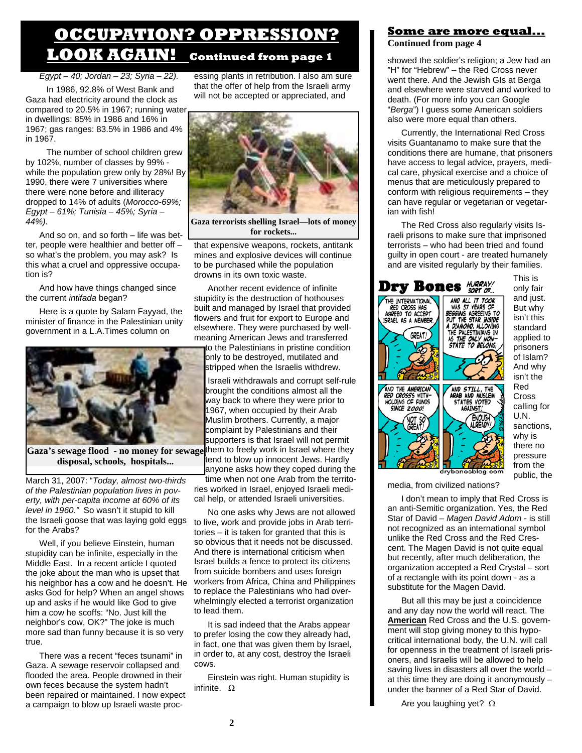## **OCCUPATION? OPPRESSION? LOOK AGAIN! Continued from page 1**

*Egypt – 40; Jordan – 23; Syria – 22).*

 In 1986, 92.8% of West Bank and Gaza had electricity around the clock as compared to 20.5% in 1967; running water in dwellings: 85% in 1986 and 16% in 1967; gas ranges: 83.5% in 1986 and 4% in 1967.

 The number of school children grew by 102%, number of classes by 99% while the population grew only by 28%! By 1990, there were 7 universities where there were none before and illiteracy dropped to 14% of adults (*Morocco-69%; Egypt – 61%; Tunisia – 45%; Syria – 44%).* 

And so on, and so forth – life was better, people were healthier and better off – so what's the problem, you may ask? Is this what a cruel and oppressive occupation is?

And how have things changed since the current *intifada* began?

Here is a quote by Salam Fayyad, the minister of finance in the Palestinian unity government in a L.A.Times column on



**disposal, schools, hospitals...** 

March 31, 2007: "*Today, almost two-thirds of the Palestinian population lives in poverty, with per-capita income at 60% of its level in 1960."* So wasn't it stupid to kill the Israeli goose that was laying gold eggs for the Arabs?

Well, if you believe Einstein, human stupidity can be infinite, especially in the Middle East. In a recent article I quoted the joke about the man who is upset that his neighbor has a cow and he doesn't. He asks God for help? When an angel shows up and asks if he would like God to give him a cow he scoffs: "No. Just kill the neighbor's cow, OK?" The joke is much more sad than funny because it is so very true.

There was a recent "feces tsunami" in Gaza. A sewage reservoir collapsed and flooded the area. People drowned in their own feces because the system hadn't been repaired or maintained. I now expect a campaign to blow up Israeli waste processing plants in retribution. I also am sure that the offer of help from the Israeli army will not be accepted or appreciated, and



**Gaza terrorists shelling Israel—lots of money for rockets...** 

that expensive weapons, rockets, antitank mines and explosive devices will continue to be purchased while the population drowns in its own toxic waste.

Another recent evidence of infinite stupidity is the destruction of hothouses built and managed by Israel that provided flowers and fruit for export to Europe and elsewhere. They were purchased by wellmeaning American Jews and transferred to the Palestinians in pristine condition only to be destroyed, mutilated and stripped when the Israelis withdrew.

Israeli withdrawals and corrupt self-rule brought the conditions almost all the way back to where they were prior to 1967, when occupied by their Arab Muslim brothers. Currently, a major complaint by Palestinians and their supporters is that Israel will not permit Gaza's sewage flood - no money for sewage them to freely work in Israel where they tend to blow up innocent Jews. Hardly anyone asks how they coped during the time when not one Arab from the territories worked in Israel, enjoyed Israeli medical help, or attended Israeli universities.

> No one asks why Jews are not allowed to live, work and provide jobs in Arab territories – it is taken for granted that this is so obvious that it needs not be discussed. And there is international criticism when Israel builds a fence to protect its citizens from suicide bombers and uses foreign workers from Africa, China and Philippines to replace the Palestinians who had overwhelmingly elected a terrorist organization to lead them.

It is sad indeed that the Arabs appear to prefer losing the cow they already had, in fact, one that was given them by Israel, in order to, at any cost, destroy the Israeli cows.

Einstein was right. Human stupidity is infinite.  $Ω$ 

## **Some are more equal... Continued from page 4**

showed the soldier's religion; a Jew had an "H" for "Hebrew" – the Red Cross never went there. And the Jewish GIs at Berga and elsewhere were starved and worked to death. (For more info you can Google "*Berga*") I guess some American soldiers also were more equal than others.

Currently, the International Red Cross visits Guantanamo to make sure that the conditions there are humane, that prisoners have access to legal advice, prayers, medical care, physical exercise and a choice of menus that are meticulously prepared to conform with religious requirements – they can have regular or vegetarian or vegetarian with fish!

The Red Cross also regularly visits Israeli prisons to make sure that imprisoned terrorists – who had been tried and found guilty in open court - are treated humanely and are visited regularly by their families.



This is only fair and just. But why isn't this standard applied to prisoners of Islam? And why isn't the Red Cross calling for U.N. sanctions, why is there no pressure from the public, the

media, from civilized nations?

I don't mean to imply that Red Cross is an anti-Semitic organization. Yes, the Red Star of David – *Magen David Adom* - is still not recognized as an international symbol unlike the Red Cross and the Red Crescent. The Magen David is not quite equal but recently, after much deliberation, the organization accepted a Red Crystal – sort of a rectangle with its point down - as a substitute for the Magen David.

But all this may be just a coincidence and any day now the world will react. The **American** Red Cross and the U.S. government will stop giving money to this hypocritical international body, the U.N. will call for openness in the treatment of Israeli prisoners, and Israelis will be allowed to help saving lives in disasters all over the world – at this time they are doing it anonymously – under the banner of a Red Star of David.

Are you laughing yet? Ω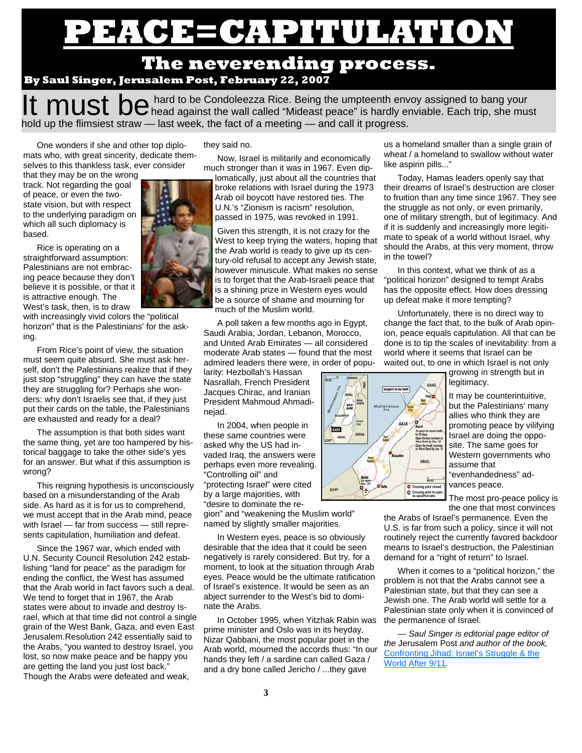# **CAPITULATION**

## **The neverending process. By Saul Singer, Jerusalem Post, February 22, 2007**

It must be hard to be Condoleezza Rice. Being the umpteenth envoy assigned to bang your  $\mathbf H$  must  $\mathbf h$ hold up the flimsiest straw — last week, the fact of a meeting — and call it progress.

One wonders if she and other top diplomats who, with great sincerity, dedicate themselves to this thankless task, ever consider

that they may be on the wrong track. Not regarding the goal of peace, or even the twostate vision, but with respect to the underlying paradigm on which all such diplomacy is based.

Rice is operating on a straightforward assumption: Palestinians are not embracing peace because they don't believe it is possible, or that it is attractive enough. The West's task, then, is to draw

with increasingly vivid colors the "political horizon" that is the Palestinians' for the asking.

From Rice's point of view, the situation must seem quite absurd. She must ask herself, don't the Palestinians realize that if they just stop "struggling" they can have the state they are struggling for? Perhaps she wonders: why don't Israelis see that, if they just put their cards on the table, the Palestinians are exhausted and ready for a deal?

The assumption is that both sides want the same thing, yet are too hampered by historical baggage to take the other side's yes for an answer. But what if this assumption is wrong?

This reigning hypothesis is unconsciously based on a misunderstanding of the Arab side. As hard as it is for us to comprehend, we must accept that in the Arab mind, peace with Israel — far from success — still represents capitulation, humiliation and defeat.

Since the 1967 war, which ended with U.N. Security Council Resolution 242 establishing "land for peace" as the paradigm for ending the conflict, the West has assumed that the Arab world in fact favors such a deal. We tend to forget that in 1967, the Arab states were about to invade and destroy Israel, which at that time did not control a single grain of the West Bank, Gaza, and even East Jerusalem.Resolution 242 essentially said to the Arabs, "you wanted to destroy Israel, you lost, so now make peace and be happy you are getting the land you just lost back." Though the Arabs were defeated and weak,

they said no.

Now, Israel is militarily and economically much stronger than it was in 1967. Even dip-

lomatically, just about all the countries that broke relations with Israel during the 1973 Arab oil boycott have restored ties. The U.N.'s "Zionism is racism" resolution, passed in 1975, was revoked in 1991.

Given this strength, it is not crazy for the West to keep trying the waters, hoping that the Arab world is ready to give up its century-old refusal to accept any Jewish state, however minuscule. What makes no sense is to forget that the Arab-Israeli peace that is a shining prize in Western eyes would be a source of shame and mourning for much of the Muslim world.

A poll taken a few months ago in Egypt, Saudi Arabia, Jordan, Lebanon, Morocco, and United Arab Emirates — all considered moderate Arab states — found that the most admired leaders there were, in order of popu-

larity: Hezbollah's Hassan Nasrallah, French President Jacques Chirac, and Iranian President Mahmoud Ahmadinejad.

In 2004, when people in these same countries were asked why the US had invaded Iraq, the answers were perhaps even more revealing. "Controlling oil" and "protecting Israel" were cited by a large majorities, with "desire to dominate the re-

gion" and "weakening the Muslim world" named by slightly smaller majorities.

In Western eyes, peace is so obviously desirable that the idea that it could be seen negatively is rarely considered. But try, for a moment, to look at the situation through Arab eyes. Peace would be the ultimate ratification of Israel's existence. It would be seen as an abject surrender to the West's bid to dominate the Arabs.

In October 1995, when Yitzhak Rabin was prime minister and Oslo was in its heyday, Nizar Qabbani, the most popular poet in the Arab world, mourned the accords thus: "In our hands they left / a sardine can called Gaza / and a dry bone called Jericho / ...they gave

us a homeland smaller than a single grain of wheat / a homeland to swallow without water like aspirin pills..."

Today, Hamas leaders openly say that their dreams of Israel's destruction are closer to fruition than any time since 1967. They see the struggle as not only, or even primarily, one of military strength, but of legitimacy. And if it is suddenly and increasingly more legitimate to speak of a world without Israel, why should the Arabs, at this very moment, throw in the towel?

In this context, what we think of as a "political horizon" designed to tempt Arabs has the opposite effect. How does dressing up defeat make it more tempting?

Unfortunately, there is no direct way to change the fact that, to the bulk of Arab opinion, peace equals capitulation. All that can be done is to tip the scales of inevitability: from a world where it seems that Israel can be waited out, to one in which Israel is not only

> growing in strength but in legitimacy. It may be counterintuitive,

but the Palestinians' many allies who think they are promoting peace by vilifying Israel are doing the opposite. The same goes for Western governments who assume that "evenhandedness" advances peace.

The most pro-peace policy is the one that most convinces

the Arabs of Israel's permanence. Even the U.S. is far from such a policy, since it will not routinely reject the currently favored backdoor means to Israel's destruction, the Palestinian demand for a "right of return" to Israel.

When it comes to a "political horizon," the problem is not that the Arabs cannot see a Palestinian state, but that they can see a Jewish one. The Arab world will settle for a Palestinian state only when it is convinced of the permanence of Israel.

*— Saul Singer is editorial page editor of the* Jerusalem Post *and author of the book,*  Confronting Jihad: Israel's Struggle & the World After 9/11*.*